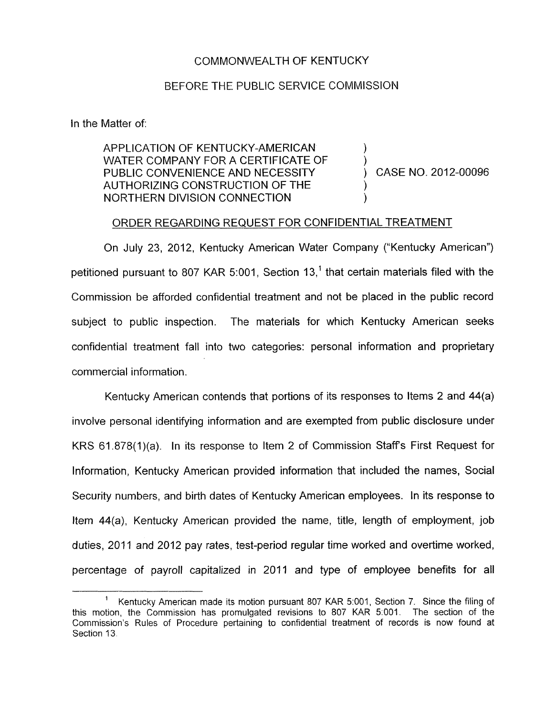## COMMONWEALTH OF KENTUCKY

## BEFORE THE PUBLIC SERVICE COMMISSION

In the Matter of:

APPLICATION OF KENTUCKY-AMERICAN WATER COMPANY FOR A CERTIFICATE **OF**  PUBLIC CONVENIENCE AND NECESSITY  $\overrightarrow{)}$  CASE NO. 2012-00096 AUTHORIZING CONSTRUCTION OF THE NORTHERN DIVISION CONNECTION )

)

## ORDER REGARDING REQUEST FOR CONFIDENTIAL TREATMENT

On July 23, 2012, Kentucky American Water Company ("Kentucky American") petitioned pursuant to 807 KAR 5:001. Section 13.<sup>1</sup> that certain materials filed with the Commission be afforded confidential treatment and not be placed in the public record subject to public inspection. The materials for which Kentucky American seeks confidential treatment fall into two categories: personal information and proprietary commercial information.

Kentucky American contends that portions of its responses to items 2 and 44(a) involve personal identifying information and are exempted from public disclosure under KRS 61.878(1)(a). In its response to Item 2 of Commission Staffs First Request for Information, Kentucky American provided information that included the names, Social Security numbers, and birth dates of Kentucky American employees. In its response to Item 44(a), Kentucky American provided the name, title, length of employment, job duties, 2011 and 2012 pay rates, test-period regular time worked and overtime worked, percentage of payroll capitalized in 2011 and type of employee benefits for all

Kentucky American made its motion pursuant 807 KAR 5:001, Section 7. Since the filing of this motion, the Commission has promulgated revisions to 807 KAR 5:OOI. The section of the Commission's Rules of Procedure pertaining to confidential treatment *of* records is now found at Section 13. 1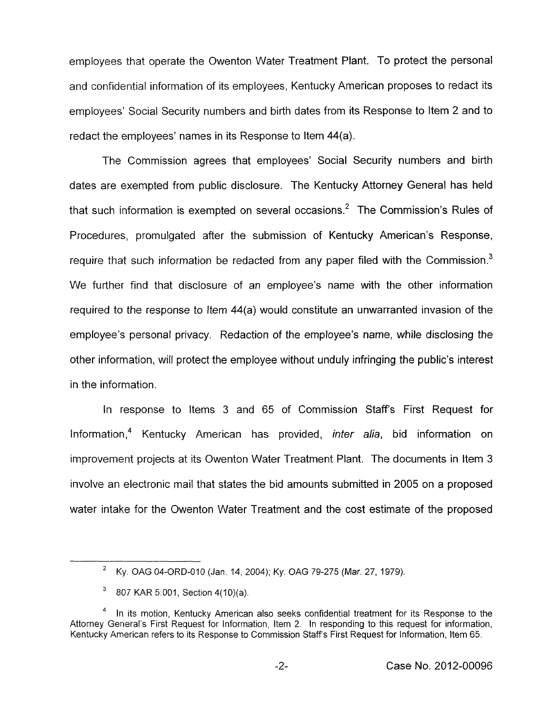employees that operate the Owenton Water Treatment Plant. To protect the personal and confidential information of its employees, Kentucky American proposes to redact its employees' Social Security numbers and birth dates from its Response to Item 2 and to redact the employees' names in its Response to Item 44(a).

The Commission agrees that employees' Social Security numbers and birth dates are exempted from public disclosure. The Kentucky Attorney General has held that such information is exempted on several occasions. $2$  The Commission's Rules of Procedures, promulgated after the submission of Kentucky American's Response, require that such information be redacted from any paper filed with the Commission. $<sup>3</sup>$ </sup> We further find that disclosure of an employee's name with the other information required to the response to Item 44(a) would constitute an unwarranted invasion of the employee's personal privacy. Redaction of the employee's name, while disclosing the other information, will protect the employee without unduly infringing the public's interest in the information.

In response to Items 3 and 65 of Commission Staff's First Request for Information14 Kentucky American has provided, *infer alia,* bid information on improvement projects at its Owenton Water Treatment Plant. The documents in Item 3 involve an electronic mail that states the bid amounts submitted in 2005 on a proposed water intake for the Owenton Water Treatment and the cost estimate of the proposed

Ky. OAG 04-ORD-010 (Jan 14, 2004); Ky. OAG 79-275 (Mar. 27, 1979).

<sup>807</sup> KAR 5:001, Section 4(10)(a).

In its motion, Kentucky American also seeks confidential treatment for its Response to the Attorney General's First Request for Information, Item 2. In responding to this request for information, Kentucky American refers to its Response to Commission Staffs First Request for Information, Item 65. **4**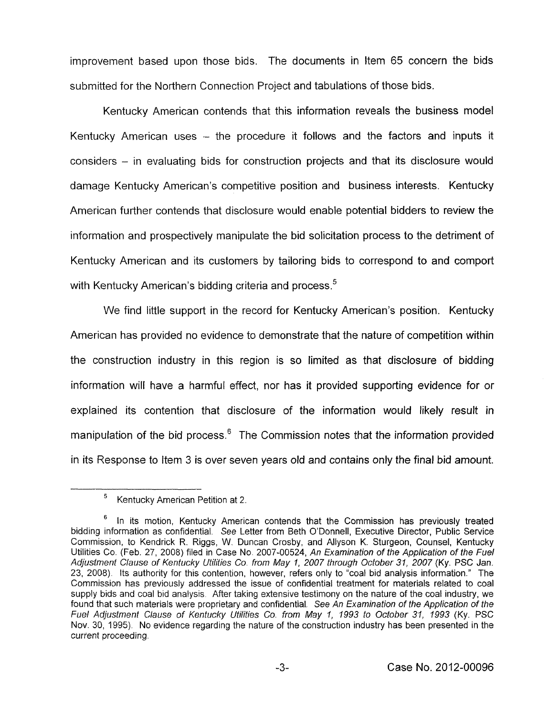improvement based upon those bids. The documents in Item 65 concern the bids submitted for the Northern Connection Project and tabulations of those bids.

Kentucky American contends that this information reveals the business model Kentucky American uses  $-$  the procedure it follows and the factors and inputs it considers - in evaluating bids for construction projects and that its disclosure would damage Kentucky American's competitive position and business interests. Kentucky American further contends that disclosure would enable potential bidders to review the information and prospectively manipulate the bid solicitation process to the detriment of Kentucky American and its customers by tailoring bids to correspond to and comport with Kentucky American's bidding criteria and process. $5$ 

We find little support in the record for Kentucky American's position. Kentucky American has provided no evidence to demonstrate that the nature of competition within the construction industry in this region is so limited as that disclosure of bidding information will have a harmful effect, nor has it provided supporting evidence for or explained its contention that disclosure of the information would likely result in manipulation of the bid process. $6$  The Commission notes that the information provided in its Response to Item 3 is over seven years old and contains only the final bid amount.

Kentucky American Petition at 2. **5** 

In its motion, Kentucky American contends that the Commission has previously treated bidding information as confidential. *See* Letter from Beth O'Donnell, Executive Director, Public Service Commission, to Kendrick R. Riggs, W Duncan Crosby, and Allyson K. Sturgeon, Counsel, Kentucky Utilities Co. (Feb. 27, 2008) filed in Case No 2007-00524, *An Examination of fhe Applicafion of fhe Fuel Adjusfment Clause of Kentucky Ufilifies Co from May I, 2007 through October 31, 2007* (Ky. PSC Jan. 23, 2008). Its authority for this contention, however, refers only to "coal bid analysis information." The Commission has previously addressed the issue of confidential treatment for materials related to coal supply bids and coal bid analysis. After taking extensive testimony on the nature of the coal industry, we found that such materials were proprietary and confidential. See An Examination of the Application of the *Fuel Adjustmenf Clause of Kenfucky Ufilities Co. from May I, 1993 to October 31, 1993* (Ky. PSC Nov. 30, 1995). No evidence regarding the nature of the construction industry has been presented in the current proceeding **6**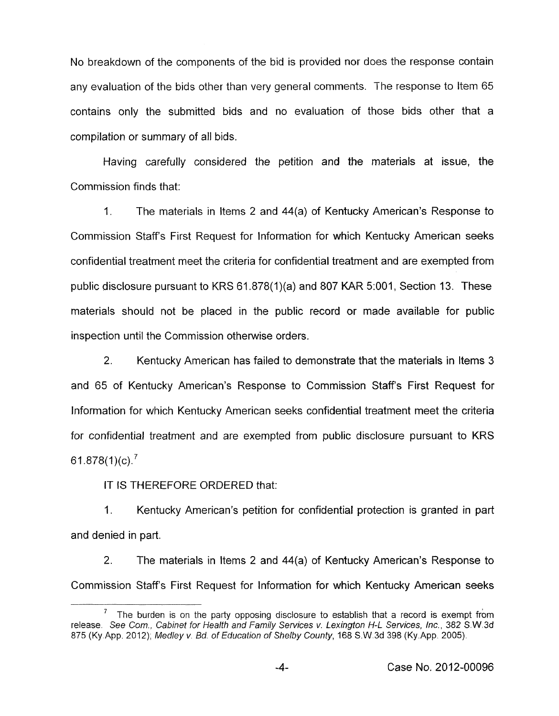No breakdown of the components of the bid is provided nor does the response contain any evaluation of the bids other than very general comments. The response to Item 65 contains only the submitted bids and no evaluation of those bids other that a compilation or summary of all bids.

Having carefully considered the petition and the materials at issue, the Commission finds that:

I. The materials in Items 2 and 44(a) of Kentucky American's Response to Commission Staffs First Request for Information for which Kentucky American seeks confidential treatment meet the criteria for confidential treatment and are exempted from public disclosure pursuant to KRS 61.878(1)(a) and 807 KAR 5:001, Section 13. These materials should not be placed in the public record or made available for public inspection until the Commission otherwise orders.

2. Kentucky American has failed to demonstrate that the materials in Items 3 and 65 of Kentucky American's Response to Commission Staffs First Request for Information for which Kentucky American seeks confidential treatment meet the criteria for confidential treatment and are exempted from public disclosure pursuant to KRS 61.878 $(1)(c)$ .

IT IS THEREFORE ORDERED that:

1. Kentucky American's petition for confidential protection is granted in part and denied in part.

2. The materials in Items 2 and 44(a) of Kentucky American's Response to Commission Staffs First Request for information for which Kentucky American seeks

The burden is on the party opposing disclosure to establish that a record *is* exempt from release. *See Corn., Cabinet for Health and Family Services v. Lexingfon H-L Services, Inc., 382* S.W.3d *875* (Ky App. 2012), *Medley v. Bd. of Education of Shelby County,* 168 S.W 3d 398 (Ky.App. 2005). **7**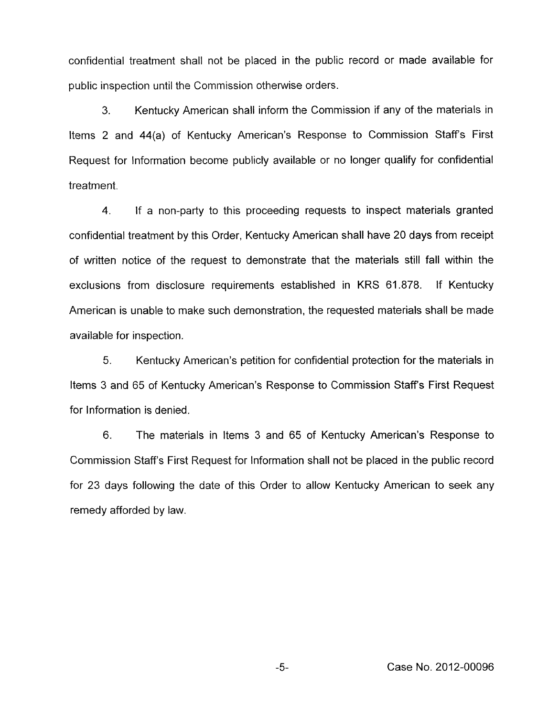confidential treatment shall not be placed in the public record or made available for public inspection until the Commission otherwise orders.

**3.** Kentucky American shall inform the Commission if any of the materials in Items 2 and 44(a) of Kentucky American's Response to Commission Staffs First Request for Information become publicly available or no longer qualify for confidential treatment.

4. If a non-party to this proceeding requests to inspect materials granted confidential treatment by this Order, Kentucky American shall have 20 days from receipt of written notice of the request to demonstrate that the materials still fall within the exclusions from disclosure requirements established in KRS 61.878. If Kentucky American is unable to make such demonstration, the requested materials shall be made available for inspection.

5. Kentucky American's petition for confidential protection for the materials in Items 3 and 65 of Kentucky American's Response to Commission Staff's First Request for Information is denied.

6. The materials in Items 3 and 65 of Kentucky American's Response to Commission Staffs First Request for Information shall not be placed in the public record for 23 days following the date of this Order to allow Kentucky American to seek any remedy afforded by law.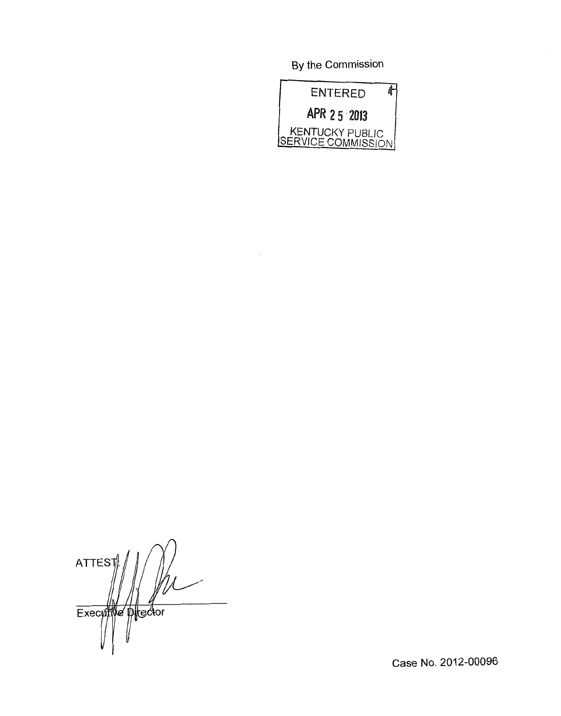By the Commission



**ATTES** Executive plector

Case No. 2012-00096